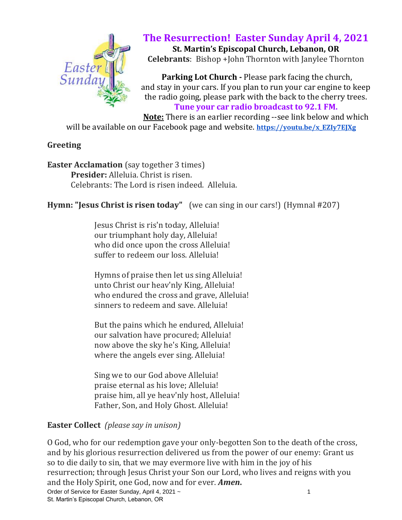

# **The Resurrection! Easter Sunday April 4, 2021**

**St. Martin's Episcopal Church, Lebanon, OR Celebrants**: Bishop +John Thornton with Janylee Thornton

**Parking Lot Church -** Please park facing the church, and stay in your cars. If you plan to run your car engine to keep the radio going, please park with the back to the cherry trees. **Tune your car radio broadcast to 92.1 FM.** 

**Note:** There is an earlier recording --see link below and which will be available on our Facebook page and website. [https://youtu.be/x\\_EZIy7EJXg](https://youtu.be/x_EZIy7EJXg)

#### **Greeting**

**Easter Acclamation** (say together 3 times) **Presider:** Alleluia. Christ is risen. Celebrants: The Lord is risen indeed. Alleluia.

**Hymn: "Jesus Christ is risen today"** (we can sing in our cars!) (Hymnal #207)

Jesus Christ is ris'n today, Alleluia! our triumphant holy day, Alleluia! who did once upon the cross Alleluia! suffer to redeem our loss. Alleluia!

Hymns of praise then let us sing Alleluia! unto Christ our heav'nly King, Alleluia! who endured the cross and grave, Alleluia! sinners to redeem and save. Alleluia!

But the pains which he endured, Alleluia! our salvation have procured; Alleluia! now above the sky he's King, Alleluia! where the angels ever sing. Alleluia!

Sing we to our God above Alleluia! praise eternal as his love; Alleluia! praise him, all ye heav'nly host, Alleluia! Father, Son, and Holy Ghost. Alleluia!

#### **Easter Collect** *(please say in unison)*

Order of Service for Easter Sunday, April 4, 2021 ~ 1 O God, who for our redemption gave your only-begotten Son to the death of the cross, and by his glorious resurrection delivered us from the power of our enemy: Grant us so to die daily to sin, that we may evermore live with him in the joy of his resurrection; through Jesus Christ your Son our Lord, who lives and reigns with you and the Holy Spirit, one God, now and for ever. *Amen***.**

St. Martin's Episcopal Church, Lebanon, OR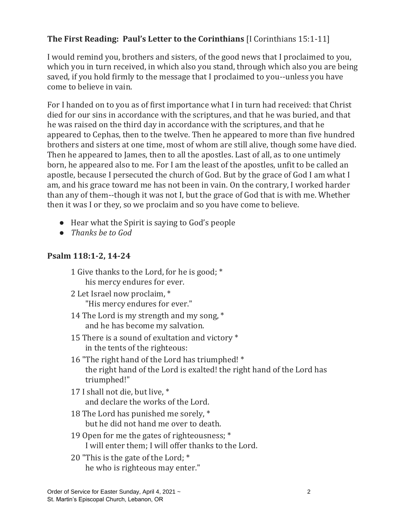# **The First Reading: Paul's Letter to the Corinthians** [I Corinthians 15:1-11]

I would remind you, brothers and sisters, of the good news that I proclaimed to you, which you in turn received, in which also you stand, through which also you are being saved, if you hold firmly to the message that I proclaimed to you--unless you have come to believe in vain.

For I handed on to you as of first importance what I in turn had received: that Christ died for our sins in accordance with the scriptures, and that he was buried, and that he was raised on the third day in accordance with the scriptures, and that he appeared to Cephas, then to the twelve. Then he appeared to more than five hundred brothers and sisters at one time, most of whom are still alive, though some have died. Then he appeared to James, then to all the apostles. Last of all, as to one untimely born, he appeared also to me. For I am the least of the apostles, unfit to be called an apostle, because I persecuted the church of God. But by the grace of God I am what I am, and his grace toward me has not been in vain. On the contrary, I worked harder than any of them--though it was not I, but the grace of God that is with me. Whether then it was I or they, so we proclaim and so you have come to believe.

- Hear what the Spirit is saying to God's people
- *Thanks be to God*

## **Psalm 118:1-2, 14-24**

- 1 Give thanks to the Lord, for he is good; \* his mercy endures for ever.
- 2 Let Israel now proclaim, \* "His mercy endures for ever."
- 14 The Lord is my strength and my song, \* and he has become my salvation.
- 15 There is a sound of exultation and victory \* in the tents of the righteous:
- 16 "The right hand of the Lord has triumphed! \* the right hand of the Lord is exalted! the right hand of the Lord has triumphed!"
- 17 I shall not die, but live, \* and declare the works of the Lord.
- 18 The Lord has punished me sorely, \* but he did not hand me over to death.
- 19 Open for me the gates of righteousness; \* I will enter them; I will offer thanks to the Lord.
- 20 "This is the gate of the Lord; \* he who is righteous may enter."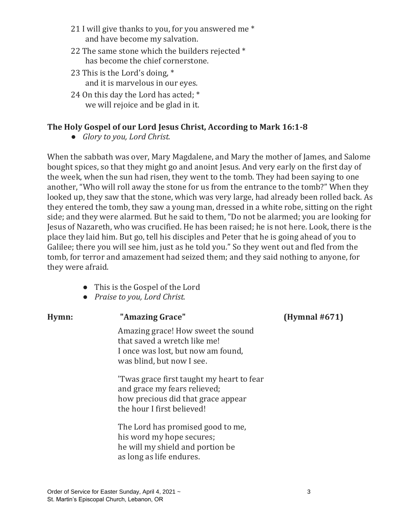- 21 I will give thanks to you, for you answered me \* and have become my salvation.
- 22 The same stone which the builders rejected \* has become the chief cornerstone.
- 23 This is the Lord's doing, \* and it is marvelous in our eyes.
- 24 On this day the Lord has acted; \* we will rejoice and be glad in it.

## **The Holy Gospel of our Lord Jesus Christ, According to Mark 16:1-8**

● *Glory to you, Lord Christ.*

When the sabbath was over, Mary Magdalene, and Mary the mother of James, and Salome bought spices, so that they might go and anoint Jesus. And very early on the first day of the week, when the sun had risen, they went to the tomb. They had been saying to one another, "Who will roll away the stone for us from the entrance to the tomb?" When they looked up, they saw that the stone, which was very large, had already been rolled back. As they entered the tomb, they saw a young man, dressed in a white robe, sitting on the right side; and they were alarmed. But he said to them, "Do not be alarmed; you are looking for Jesus of Nazareth, who was crucified. He has been raised; he is not here. Look, there is the place they laid him. But go, tell his disciples and Peter that he is going ahead of you to Galilee; there you will see him, just as he told you." So they went out and fled from the tomb, for terror and amazement had seized them; and they said nothing to anyone, for they were afraid.

- This is the Gospel of the Lord
- *Praise to you, Lord Christ.*

#### **Hymn: "Amazing Grace" (Hymnal #671)**

Amazing grace! How sweet the sound that saved a wretch like me! I once was lost, but now am found, was blind, but now I see.

'Twas grace first taught my heart to fear and grace my fears relieved; how precious did that grace appear the hour I first believed!

The Lord has promised good to me, his word my hope secures; he will my shield and portion be as long as life endures.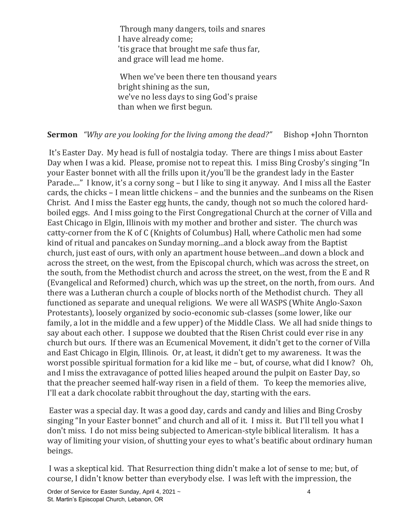Through many dangers, toils and snares I have already come; 'tis grace that brought me safe thus far, and grace will lead me home.

When we've been there ten thousand years bright shining as the sun, we've no less days to sing God's praise than when we first begun.

#### **Sermon** *"Why are you looking for the living among the dead?"* Bishop +John Thornton

It's Easter Day. My head is full of nostalgia today. There are things I miss about Easter Day when I was a kid. Please, promise not to repeat this. I miss Bing Crosby's singing "In your Easter bonnet with all the frills upon it/you'll be the grandest lady in the Easter Parade...." I know, it's a corny song – but I like to sing it anyway. And I miss all the Easter cards, the chicks – I mean little chickens – and the bunnies and the sunbeams on the Risen Christ. And I miss the Easter egg hunts, the candy, though not so much the colored hardboiled eggs. And I miss going to the First Congregational Church at the corner of Villa and East Chicago in Elgin, Illinois with my mother and brother and sister. The church was catty-corner from the K of C (Knights of Columbus) Hall, where Catholic men had some kind of ritual and pancakes on Sunday morning...and a block away from the Baptist church, just east of ours, with only an apartment house between...and down a block and across the street, on the west, from the Episcopal church, which was across the street, on the south, from the Methodist church and across the street, on the west, from the E and R (Evangelical and Reformed) church, which was up the street, on the north, from ours. And there was a Lutheran church a couple of blocks north of the Methodist church. They all functioned as separate and unequal religions. We were all WASPS (White Anglo-Saxon Protestants), loosely organized by socio-economic sub-classes (some lower, like our family, a lot in the middle and a few upper) of the Middle Class. We all had snide things to say about each other. I suppose we doubted that the Risen Christ could ever rise in any church but ours. If there was an Ecumenical Movement, it didn't get to the corner of Villa and East Chicago in Elgin, Illinois. Or, at least, it didn't get to my awareness. It was the worst possible spiritual formation for a kid like me – but, of course, what did I know? Oh, and I miss the extravagance of potted lilies heaped around the pulpit on Easter Day, so that the preacher seemed half-way risen in a field of them. To keep the memories alive, I'll eat a dark chocolate rabbit throughout the day, starting with the ears.

Easter was a special day. It was a good day, cards and candy and lilies and Bing Crosby singing "In your Easter bonnet" and church and all of it. I miss it. But I'll tell you what I don't miss. I do not miss being subjected to American-style biblical literalism. It has a way of limiting your vision, of shutting your eyes to what's beatific about ordinary human beings.

I was a skeptical kid. That Resurrection thing didn't make a lot of sense to me; but, of course, I didn't know better than everybody else. I was left with the impression, the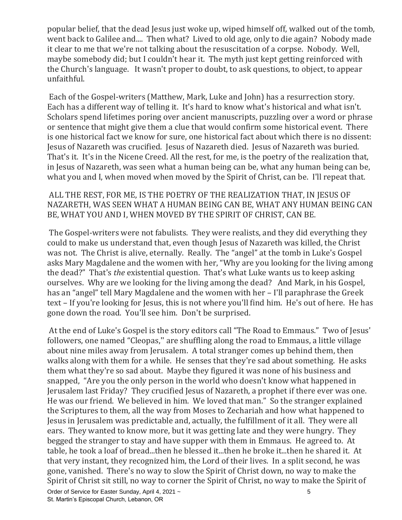popular belief, that the dead Jesus just woke up, wiped himself off, walked out of the tomb, went back to Galilee and.... Then what? Lived to old age, only to die again? Nobody made it clear to me that we're not talking about the resuscitation of a corpse. Nobody. Well, maybe somebody did; but I couldn't hear it. The myth just kept getting reinforced with the Church's language. It wasn't proper to doubt, to ask questions, to object, to appear unfaithful.

Each of the Gospel-writers (Matthew, Mark, Luke and John) has a resurrection story. Each has a different way of telling it. It's hard to know what's historical and what isn't. Scholars spend lifetimes poring over ancient manuscripts, puzzling over a word or phrase or sentence that might give them a clue that would confirm some historical event. There is one historical fact we know for sure, one historical fact about which there is no dissent: Jesus of Nazareth was crucified. Jesus of Nazareth died. Jesus of Nazareth was buried. That's it. It's in the Nicene Creed. All the rest, for me, is the poetry of the realization that, in Jesus of Nazareth, was seen what a human being can be, what any human being can be, what you and I, when moved when moved by the Spirit of Christ, can be. I'll repeat that.

#### ALL THE REST, FOR ME, IS THE POETRY OF THE REALIZATION THAT, IN JESUS OF NAZARETH, WAS SEEN WHAT A HUMAN BEING CAN BE, WHAT ANY HUMAN BEING CAN BE, WHAT YOU AND I, WHEN MOVED BY THE SPIRIT OF CHRIST, CAN BE.

The Gospel-writers were not fabulists. They were realists, and they did everything they could to make us understand that, even though Jesus of Nazareth was killed, the Christ was not. The Christ is alive, eternally. Really. The "angel" at the tomb in Luke's Gospel asks Mary Magdalene and the women with her, "Why are you looking for the living among the dead?" That's *the* existential question. That's what Luke wants us to keep asking ourselves. Why are we looking for the living among the dead? And Mark, in his Gospel, has an "angel" tell Mary Magdalene and the women with her – I'll paraphrase the Greek text – If you're looking for Jesus, this is not where you'll find him. He's out of here. He has gone down the road. You'll see him. Don't be surprised.

At the end of Luke's Gospel is the story editors call "The Road to Emmaus." Two of Jesus' followers, one named "Cleopas,'' are shuffling along the road to Emmaus, a little village about nine miles away from Jerusalem. A total stranger comes up behind them, then walks along with them for a while. He senses that they're sad about something. He asks them what they're so sad about. Maybe they figured it was none of his business and snapped, "Are you the only person in the world who doesn't know what happened in Jerusalem last Friday? They crucified Jesus of Nazareth, a prophet if there ever was one. He was our friend. We believed in him. We loved that man." So the stranger explained the Scriptures to them, all the way from Moses to Zechariah and how what happened to Jesus in Jerusalem was predictable and, actually, the fulfillment of it all. They were all ears. They wanted to know more, but it was getting late and they were hungry. They begged the stranger to stay and have supper with them in Emmaus. He agreed to. At table, he took a loaf of bread...then he blessed it...then he broke it...then he shared it. At that very instant, they recognized him, the Lord of their lives. In a split second, he was gone, vanished. There's no way to slow the Spirit of Christ down, no way to make the Spirit of Christ sit still, no way to corner the Spirit of Christ, no way to make the Spirit of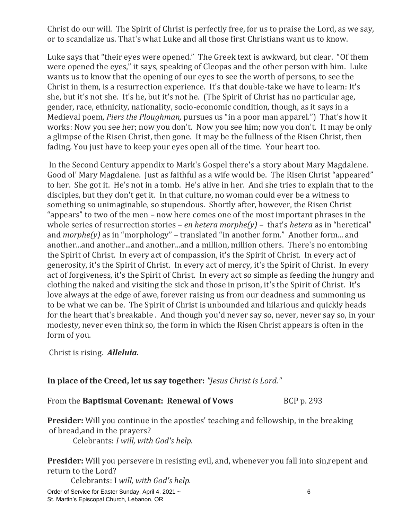Christ do our will. The Spirit of Christ is perfectly free, for us to praise the Lord, as we say, or to scandalize us. That's what Luke and all those first Christians want us to know.

Luke says that "their eyes were opened." The Greek text is awkward, but clear. "Of them were opened the eyes," it says, speaking of Cleopas and the other person with him. Luke wants us to know that the opening of our eyes to see the worth of persons, to see the Christ in them, is a resurrection experience. It's that double-take we have to learn: It's she, but it's not she. It's he, but it's not he. (The Spirit of Christ has no particular age, gender, race, ethnicity, nationality, socio-economic condition, though, as it says in a Medieval poem, *Piers the Ploughman,* pursues us "in a poor man apparel.") That's how it works: Now you see her; now you don't. Now you see him; now you don't. It may be only a glimpse of the Risen Christ, then gone. It may be the fullness of the Risen Christ, then fading. You just have to keep your eyes open all of the time. Your heart too.

In the Second Century appendix to Mark's Gospel there's a story about Mary Magdalene. Good ol' Mary Magdalene. Just as faithful as a wife would be. The Risen Christ "appeared" to her. She got it. He's not in a tomb. He's alive in her. And she tries to explain that to the disciples, but they don't get it. In that culture, no woman could ever be a witness to something so unimaginable, so stupendous. Shortly after, however, the Risen Christ "appears" to two of the men – now here comes one of the most important phrases in the whole series of resurrection stories – *en hetera morphe(y)* – that's *hetera* as in "heretical" and *morphe(y)* as in "morphology" – translated "in another form." Another form... and another...and another...and another...and a million, million others. There's no entombing the Spirit of Christ. In every act of compassion, it's the Spirit of Christ. In every act of generosity, it's the Spirit of Christ. In every act of mercy, it's the Spirit of Christ. In every act of forgiveness, it's the Spirit of Christ. In every act so simple as feeding the hungry and clothing the naked and visiting the sick and those in prison, it's the Spirit of Christ. It's love always at the edge of awe, forever raising us from our deadness and summoning us to be what we can be. The Spirit of Christ is unbounded and hilarious and quickly heads for the heart that's breakable . And though you'd never say so, never, never say so, in your modesty, never even think so, the form in which the Risen Christ appears is often in the form of you.

Christ is rising. *Alleluia.*

**In place of the Creed, let us say together:** *"Jesus Christ is Lord."*

From the **Baptismal Covenant: Renewal of Vows** BCP p. 293

**Presider:** Will you continue in the apostles' teaching and fellowship, in the breaking of bread,and in the prayers?

Celebrants: *I will, with God's help.*

**Presider:** Will you persevere in resisting evil, and, whenever you fall into sin,repent and return to the Lord?

Celebrants: I *will, with God's help.*

Order of Service for Easter Sunday, April 4, 2021 ~ 6 St. Martin's Episcopal Church, Lebanon, OR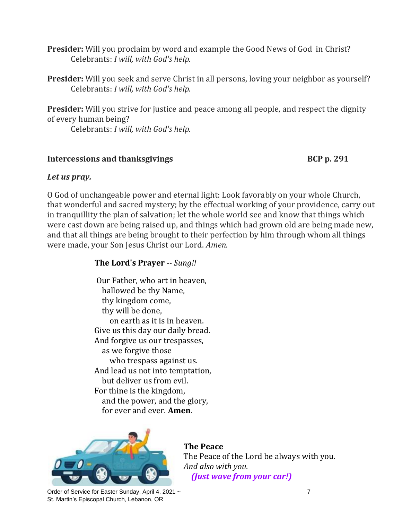- **Presider:** Will you proclaim by word and example the Good News of God in Christ? Celebrants: *I will, with God's help.*
- **Presider:** Will you seek and serve Christ in all persons, loving your neighbor as yourself? Celebrants: *I will, with God's help.*

**Presider:** Will you strive for justice and peace among all people, and respect the dignity of every human being?

Celebrants: *I will, with God's help.*

#### **Intercessions and thanksgivings BCP p. 291**

#### *Let us pray.*

O God of unchangeable power and eternal light: Look favorably on your whole Church, that wonderful and sacred mystery; by the effectual working of your providence, carry out in tranquillity the plan of salvation; let the whole world see and know that things which were cast down are being raised up, and things which had grown old are being made new, and that all things are being brought to their perfection by him through whom all things were made, your Son Jesus Christ our Lord. *Amen.*

### **The Lord's Prayer** *-- Sung!!*

Our Father, who art in heaven, hallowed be thy Name, thy kingdom come, thy will be done, on earth as it is in heaven. Give us this day our daily bread. And forgive us our trespasses, as we forgive those who trespass against us. And lead us not into temptation, but deliver us from evil. For thine is the kingdom, and the power, and the glory, for ever and ever. **Amen**.



**The Peace**  The Peace of the Lord be always with you. *And also with you.* *(Just wave from your car!)*

Order of Service for Easter Sunday, April 4, 2021 ~ 7 St. Martin's Episcopal Church, Lebanon, OR